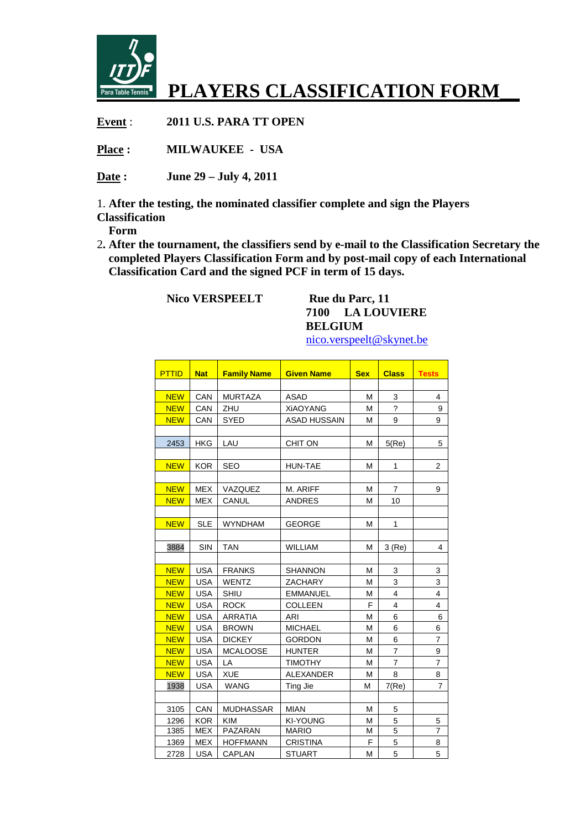

## **PLAYERS CLASSIFICATION FORM\_\_**

**Event** : **2011 U.S. PARA TT OPEN** 

**Place : MILWAUKEE - USA** 

**Date : June 29 – July 4, 2011** 

1. **After the testing, the nominated classifier complete and sign the Players** 

**Classification** 

 **Form**

2**. After the tournament, the classifiers send by e-mail to the Classification Secretary the completed Players Classification Form and by post-mail copy of each International Classification Card and the signed PCF in term of 15 days.** 

**Nico VERSPEELT** Rue du Parc, 11

## **7100 LA LOUVIERE BELGIUM**

| nico.verspeelt@skynet.be |  |
|--------------------------|--|
|                          |  |

<u> 1999 - Jacques Maria de La Carlo III (m. 1954)</u>

| <b>PTTID</b> | <b>Nat</b> | <b>Family Name</b> | <b>Given Name</b>   | <b>Sex</b> | <b>Class</b>             | <b>Tests</b>            |
|--------------|------------|--------------------|---------------------|------------|--------------------------|-------------------------|
|              |            |                    |                     |            |                          |                         |
| <b>NEW</b>   | CAN        | <b>MURTAZA</b>     | <b>ASAD</b>         | M          | 3                        | 4                       |
| <b>NEW</b>   | CAN        | ZHU                | <b>XiAOYANG</b>     | M          | $\overline{\phantom{a}}$ | 9                       |
| <b>NEW</b>   | CAN        | <b>SYED</b>        | <b>ASAD HUSSAIN</b> | M          | 9                        | 9                       |
|              |            |                    |                     |            |                          |                         |
| 2453         | <b>HKG</b> | LAU                | <b>CHIT ON</b>      | M          | 5(Re)                    | 5                       |
|              |            |                    |                     |            |                          |                         |
| <b>NEW</b>   | <b>KOR</b> | <b>SEO</b>         | <b>HUN-TAE</b>      | м          | 1                        | $\overline{2}$          |
|              |            |                    |                     |            |                          |                         |
| <b>NEW</b>   | <b>MEX</b> | VAZQUEZ            | M. ARIFF            | М          | $\overline{7}$           | 9                       |
| <b>NEW</b>   | <b>MEX</b> | CANUL              | <b>ANDRES</b>       | м          | 10                       |                         |
|              |            |                    |                     |            |                          |                         |
| <b>NEW</b>   | <b>SLE</b> | <b>WYNDHAM</b>     | <b>GEORGE</b>       | M          | 1                        |                         |
|              |            |                    |                     |            |                          |                         |
| 3884         | <b>SIN</b> | <b>TAN</b>         | WILLIAM             | M          | 3(Re)                    | 4                       |
|              |            |                    |                     |            |                          |                         |
| <b>NEW</b>   | <b>USA</b> | <b>FRANKS</b>      | <b>SHANNON</b>      | м          | 3                        | 3                       |
| <b>NEW</b>   | <b>USA</b> | <b>WENTZ</b>       | <b>ZACHARY</b>      | М          | 3                        | 3                       |
| <b>NEW</b>   | <b>USA</b> | <b>SHIU</b>        | <b>EMMANUEL</b>     | М          | $\overline{4}$           | $\overline{\mathbf{4}}$ |
| <b>NEW</b>   | <b>USA</b> | <b>ROCK</b>        | <b>COLLEEN</b>      | F          | 4                        | $\overline{4}$          |
| <b>NEW</b>   | <b>USA</b> | <b>ARRATIA</b>     | ARI                 | M          | 6                        | 6                       |
| <b>NEW</b>   | <b>USA</b> | <b>BROWN</b>       | <b>MICHAEL</b>      | М          | 6                        | 6                       |
| <b>NEW</b>   | <b>USA</b> | <b>DICKEY</b>      | <b>GORDON</b>       | М          | 6                        | $\overline{7}$          |
| <b>NEW</b>   | <b>USA</b> | <b>MCALOOSE</b>    | <b>HUNTER</b>       | М          | $\overline{7}$           | 9                       |
| <b>NEW</b>   | <b>USA</b> | LA                 | <b>TIMOTHY</b>      | M          | $\overline{7}$           | $\overline{7}$          |
| <b>NEW</b>   | <b>USA</b> | <b>XUE</b>         | <b>ALEXANDER</b>    | M          | 8                        | 8                       |
| 1938         | <b>USA</b> | <b>WANG</b>        | Ting Jie            | М          | 7(Re)                    | $\overline{7}$          |
|              |            |                    |                     |            |                          |                         |
| 3105         | CAN        | <b>MUDHASSAR</b>   | <b>MIAN</b>         | М          | 5                        |                         |
| 1296         | <b>KOR</b> | <b>KIM</b>         | <b>KI-YOUNG</b>     | M          | 5                        | 5                       |
| 1385         | <b>MEX</b> | <b>PAZARAN</b>     | <b>MARIO</b>        | М          | 5                        | $\overline{7}$          |
| 1369         | <b>MEX</b> | <b>HOFFMANN</b>    | <b>CRISTINA</b>     | F          | 5                        | 8                       |
| 2728         | <b>USA</b> | CAPLAN             | <b>STUART</b>       | M          | 5                        | 5                       |